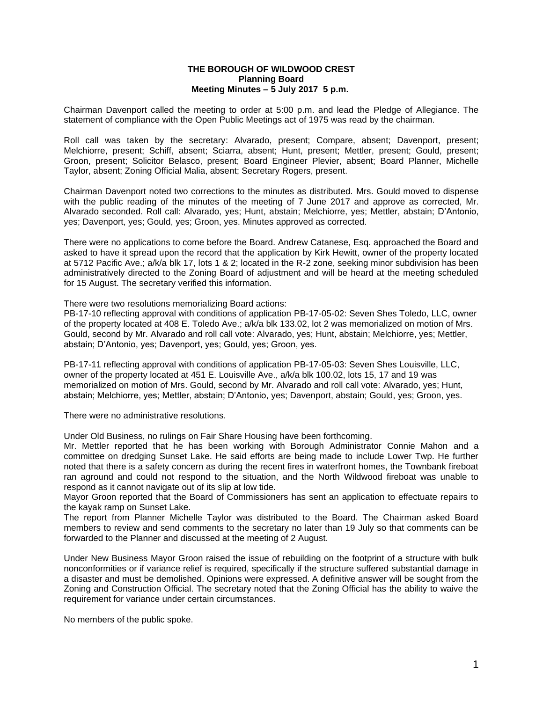## **THE BOROUGH OF WILDWOOD CREST Planning Board Meeting Minutes – 5 July 2017 5 p.m.**

Chairman Davenport called the meeting to order at 5:00 p.m. and lead the Pledge of Allegiance. The statement of compliance with the Open Public Meetings act of 1975 was read by the chairman.

Roll call was taken by the secretary: Alvarado, present; Compare, absent; Davenport, present; Melchiorre, present; Schiff, absent; Sciarra, absent; Hunt, present; Mettler, present; Gould, present; Groon, present; Solicitor Belasco, present; Board Engineer Plevier, absent; Board Planner, Michelle Taylor, absent; Zoning Official Malia, absent; Secretary Rogers, present.

Chairman Davenport noted two corrections to the minutes as distributed. Mrs. Gould moved to dispense with the public reading of the minutes of the meeting of 7 June 2017 and approve as corrected, Mr. Alvarado seconded. Roll call: Alvarado, yes; Hunt, abstain; Melchiorre, yes; Mettler, abstain; D'Antonio, yes; Davenport, yes; Gould, yes; Groon, yes. Minutes approved as corrected.

There were no applications to come before the Board. Andrew Catanese, Esq. approached the Board and asked to have it spread upon the record that the application by Kirk Hewitt, owner of the property located at 5712 Pacific Ave.; a/k/a blk 17, lots 1 & 2; located in the R-2 zone, seeking minor subdivision has been administratively directed to the Zoning Board of adjustment and will be heard at the meeting scheduled for 15 August. The secretary verified this information.

There were two resolutions memorializing Board actions:

PB-17-10 reflecting approval with conditions of application PB-17-05-02: Seven Shes Toledo, LLC, owner of the property located at 408 E. Toledo Ave.; a/k/a blk 133.02, lot 2 was memorialized on motion of Mrs. Gould, second by Mr. Alvarado and roll call vote: Alvarado, yes; Hunt, abstain; Melchiorre, yes; Mettler, abstain; D'Antonio, yes; Davenport, yes; Gould, yes; Groon, yes.

PB-17-11 reflecting approval with conditions of application PB-17-05-03: Seven Shes Louisville, LLC, owner of the property located at 451 E. Louisville Ave., a/k/a blk 100.02, lots 15, 17 and 19 was memorialized on motion of Mrs. Gould, second by Mr. Alvarado and roll call vote: Alvarado, yes; Hunt, abstain; Melchiorre, yes; Mettler, abstain; D'Antonio, yes; Davenport, abstain; Gould, yes; Groon, yes.

There were no administrative resolutions.

Under Old Business, no rulings on Fair Share Housing have been forthcoming.

Mr. Mettler reported that he has been working with Borough Administrator Connie Mahon and a committee on dredging Sunset Lake. He said efforts are being made to include Lower Twp. He further noted that there is a safety concern as during the recent fires in waterfront homes, the Townbank fireboat ran aground and could not respond to the situation, and the North Wildwood fireboat was unable to respond as it cannot navigate out of its slip at low tide.

Mayor Groon reported that the Board of Commissioners has sent an application to effectuate repairs to the kayak ramp on Sunset Lake.

The report from Planner Michelle Taylor was distributed to the Board. The Chairman asked Board members to review and send comments to the secretary no later than 19 July so that comments can be forwarded to the Planner and discussed at the meeting of 2 August.

Under New Business Mayor Groon raised the issue of rebuilding on the footprint of a structure with bulk nonconformities or if variance relief is required, specifically if the structure suffered substantial damage in a disaster and must be demolished. Opinions were expressed. A definitive answer will be sought from the Zoning and Construction Official. The secretary noted that the Zoning Official has the ability to waive the requirement for variance under certain circumstances.

No members of the public spoke.